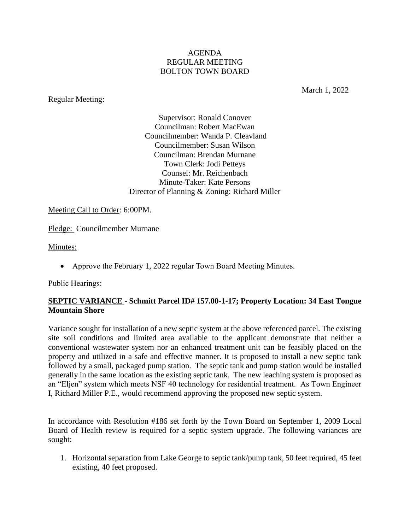### AGENDA REGULAR MEETING BOLTON TOWN BOARD

### Regular Meeting:

March 1, 2022

Supervisor: Ronald Conover Councilman: Robert MacEwan Councilmember: Wanda P. Cleavland Councilmember: Susan Wilson Councilman: Brendan Murnane Town Clerk: Jodi Petteys Counsel: Mr. Reichenbach Minute-Taker: Kate Persons Director of Planning & Zoning: Richard Miller

Meeting Call to Order: 6:00PM.

Pledge: Councilmember Murnane

Minutes:

• Approve the February 1, 2022 regular Town Board Meeting Minutes.

#### Public Hearings:

### **SEPTIC VARIANCE - Schmitt Parcel ID# 157.00-1-17; Property Location: 34 East Tongue Mountain Shore**

Variance sought for installation of a new septic system at the above referenced parcel. The existing site soil conditions and limited area available to the applicant demonstrate that neither a conventional wastewater system nor an enhanced treatment unit can be feasibly placed on the property and utilized in a safe and effective manner. It is proposed to install a new septic tank followed by a small, packaged pump station. The septic tank and pump station would be installed generally in the same location as the existing septic tank. The new leaching system is proposed as an "Eljen" system which meets NSF 40 technology for residential treatment. As Town Engineer I, Richard Miller P.E., would recommend approving the proposed new septic system.

In accordance with Resolution #186 set forth by the Town Board on September 1, 2009 Local Board of Health review is required for a septic system upgrade. The following variances are sought:

1. Horizontal separation from Lake George to septic tank/pump tank, 50 feet required, 45 feet existing, 40 feet proposed.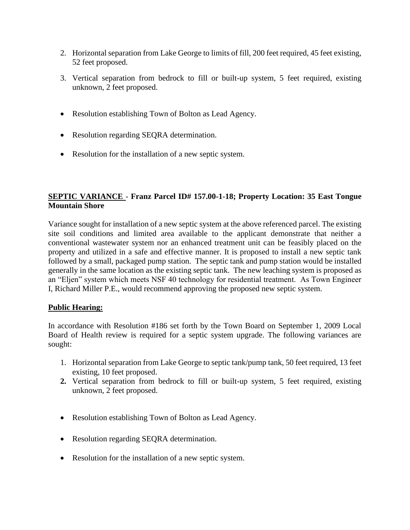- 2. Horizontal separation from Lake George to limits of fill, 200 feet required, 45 feet existing, 52 feet proposed.
- 3. Vertical separation from bedrock to fill or built-up system, 5 feet required, existing unknown, 2 feet proposed.
- Resolution establishing Town of Bolton as Lead Agency.
- Resolution regarding SEQRA determination.
- Resolution for the installation of a new septic system.

## **SEPTIC VARIANCE** - **Franz Parcel ID# 157.00-1-18; Property Location: 35 East Tongue Mountain Shore**

Variance sought for installation of a new septic system at the above referenced parcel. The existing site soil conditions and limited area available to the applicant demonstrate that neither a conventional wastewater system nor an enhanced treatment unit can be feasibly placed on the property and utilized in a safe and effective manner. It is proposed to install a new septic tank followed by a small, packaged pump station. The septic tank and pump station would be installed generally in the same location as the existing septic tank. The new leaching system is proposed as an "Eljen" system which meets NSF 40 technology for residential treatment. As Town Engineer I, Richard Miller P.E., would recommend approving the proposed new septic system.

### **Public Hearing:**

In accordance with Resolution #186 set forth by the Town Board on September 1, 2009 Local Board of Health review is required for a septic system upgrade. The following variances are sought:

- 1. Horizontal separation from Lake George to septic tank/pump tank, 50 feet required, 13 feet existing, 10 feet proposed.
- **2.** Vertical separation from bedrock to fill or built-up system, 5 feet required, existing unknown, 2 feet proposed.
- Resolution establishing Town of Bolton as Lead Agency.
- Resolution regarding SEQRA determination.
- Resolution for the installation of a new septic system.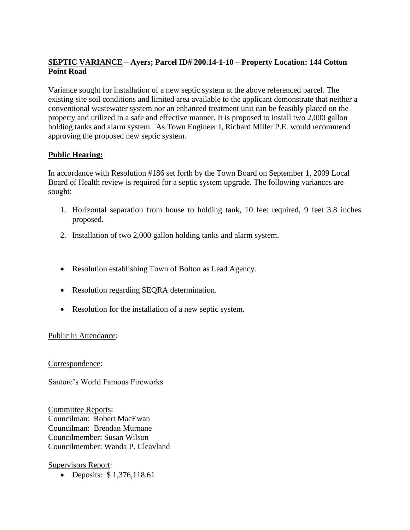# **SEPTIC VARIANCE – Ayers; Parcel ID# 200.14-1-10 – Property Location: 144 Cotton Point Road**

Variance sought for installation of a new septic system at the above referenced parcel. The existing site soil conditions and limited area available to the applicant demonstrate that neither a conventional wastewater system nor an enhanced treatment unit can be feasibly placed on the property and utilized in a safe and effective manner. It is proposed to install two 2,000 gallon holding tanks and alarm system. As Town Engineer I, Richard Miller P.E. would recommend approving the proposed new septic system.

## **Public Hearing:**

In accordance with Resolution #186 set forth by the Town Board on September 1, 2009 Local Board of Health review is required for a septic system upgrade. The following variances are sought:

- 1. Horizontal separation from house to holding tank, 10 feet required, 9 feet 3.8 inches proposed.
- 2. Installation of two 2,000 gallon holding tanks and alarm system.
- Resolution establishing Town of Bolton as Lead Agency.
- Resolution regarding SEQRA determination.
- Resolution for the installation of a new septic system.

### Public in Attendance:

Correspondence:

Santore's World Famous Fireworks

Committee Reports: Councilman: Robert MacEwan Councilman: Brendan Murnane Councilmember: Susan Wilson Councilmember: Wanda P. Cleavland

Supervisors Report:

• Deposits: \$1,376,118.61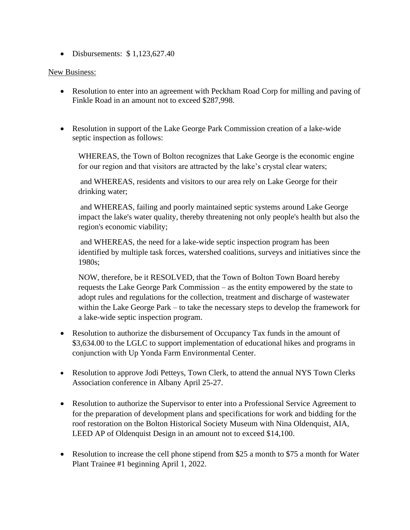• Disbursements:  $$1,123,627.40$ 

### New Business:

- Resolution to enter into an agreement with Peckham Road Corp for milling and paving of Finkle Road in an amount not to exceed \$287,998.
- Resolution in support of the Lake George Park Commission creation of a lake-wide septic inspection as follows:

WHEREAS, the Town of Bolton recognizes that Lake George is the economic engine for our region and that visitors are attracted by the lake's crystal clear waters;

and WHEREAS, residents and visitors to our area rely on Lake George for their drinking water;

and WHEREAS, failing and poorly maintained septic systems around Lake George impact the lake's water quality, thereby threatening not only people's health but also the region's economic viability;

and WHEREAS, the need for a lake-wide septic inspection program has been identified by multiple task forces, watershed coalitions, surveys and initiatives since the 1980s;

NOW, therefore, be it RESOLVED, that the Town of Bolton Town Board hereby requests the Lake George Park Commission – as the entity empowered by the state to adopt rules and regulations for the collection, treatment and discharge of wastewater within the Lake George Park – to take the necessary steps to develop the framework for a lake-wide septic inspection program.

- Resolution to authorize the disbursement of Occupancy Tax funds in the amount of \$3,634.00 to the LGLC to support implementation of educational hikes and programs in conjunction with Up Yonda Farm Environmental Center.
- Resolution to approve Jodi Petteys, Town Clerk, to attend the annual NYS Town Clerks Association conference in Albany April 25-27.
- Resolution to authorize the Supervisor to enter into a Professional Service Agreement to for the preparation of development plans and specifications for work and bidding for the roof restoration on the Bolton Historical Society Museum with Nina Oldenquist, AIA, LEED AP of Oldenquist Design in an amount not to exceed \$14,100.
- Resolution to increase the cell phone stipend from \$25 a month to \$75 a month for Water Plant Trainee #1 beginning April 1, 2022.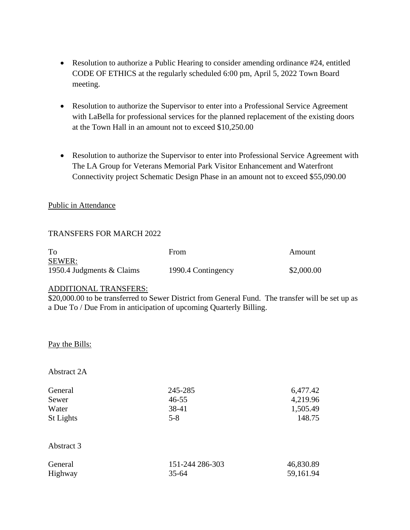- Resolution to authorize a Public Hearing to consider amending ordinance #24, entitled CODE OF ETHICS at the regularly scheduled 6:00 pm, April 5, 2022 Town Board meeting.
- Resolution to authorize the Supervisor to enter into a Professional Service Agreement with LaBella for professional services for the planned replacement of the existing doors at the Town Hall in an amount not to exceed \$10,250.00
- Resolution to authorize the Supervisor to enter into Professional Service Agreement with The LA Group for Veterans Memorial Park Visitor Enhancement and Waterfront Connectivity project Schematic Design Phase in an amount not to exceed \$55,090.00

### Public in Attendance

### TRANSFERS FOR MARCH 2022

| To                        | From               | Amount     |
|---------------------------|--------------------|------------|
| <b>SEWER:</b>             |                    |            |
| 1950.4 Judgments & Claims | 1990.4 Contingency | \$2,000.00 |

### ADDITIONAL TRANSFERS:

\$20,000.00 to be transferred to Sewer District from General Fund. The transfer will be set up as a Due To / Due From in anticipation of upcoming Quarterly Billing.

### Pay the Bills:

### Abstract 2A

| General          | 245-285   | 6,477.42 |
|------------------|-----------|----------|
| Sewer            | $46 - 55$ | 4,219.96 |
| Water            | 38-41     | 1,505.49 |
| <b>St Lights</b> | $5 - 8$   | 148.75   |
|                  |           |          |
| Abstract 3       |           |          |

| General | 151-244 286-303 | 46,830.89 |
|---------|-----------------|-----------|
| Highway | $35 - 64$       | 59,161.94 |